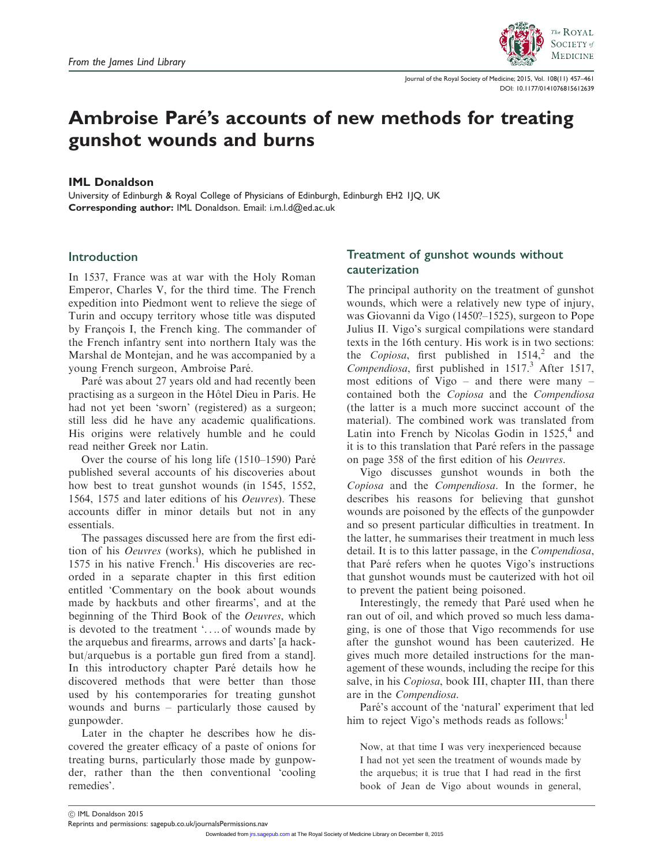

Journal of the Royal Society of Medicine; 2015, Vol. 108(11) 457–461 DOI: 10.1177/0141076815612639

# Ambroise Paré's accounts of new methods for treating gunshot wounds and burns

#### IML Donaldson

University of Edinburgh & Royal College of Physicians of Edinburgh, Edinburgh EH2 1JQ, UK Corresponding author: IML Donaldson. Email: i.m.l.d@ed.ac.uk

## Introduction

In 1537, France was at war with the Holy Roman Emperor, Charles V, for the third time. The French expedition into Piedmont went to relieve the siege of Turin and occupy territory whose title was disputed by François I, the French king. The commander of the French infantry sent into northern Italy was the Marshal de Montejan, and he was accompanied by a young French surgeon, Ambroise Pare´.

Paré was about 27 years old and had recently been practising as a surgeon in the Hôtel Dieu in Paris. He had not yet been 'sworn' (registered) as a surgeon; still less did he have any academic qualifications. His origins were relatively humble and he could read neither Greek nor Latin.

Over the course of his long life (1510–1590) Paré published several accounts of his discoveries about how best to treat gunshot wounds (in 1545, 1552, 1564, 1575 and later editions of his Oeuvres). These accounts differ in minor details but not in any essentials.

The passages discussed here are from the first edition of his Oeuvres (works), which he published in  $1575$  in his native French.<sup>1</sup> His discoveries are recorded in a separate chapter in this first edition entitled 'Commentary on the book about wounds made by hackbuts and other firearms', and at the beginning of the Third Book of the Oeuvres, which is devoted to the treatment '.... of wounds made by the arquebus and firearms, arrows and darts' [a hackbut/arquebus is a portable gun fired from a stand]. In this introductory chapter Paré details how he discovered methods that were better than those used by his contemporaries for treating gunshot wounds and burns – particularly those caused by gunpowder.

Later in the chapter he describes how he discovered the greater efficacy of a paste of onions for treating burns, particularly those made by gunpowder, rather than the then conventional 'cooling remedies'.

## Treatment of gunshot wounds without cauterization

The principal authority on the treatment of gunshot wounds, which were a relatively new type of injury, was Giovanni da Vigo (1450?–1525), surgeon to Pope Julius II. Vigo's surgical compilations were standard texts in the 16th century. His work is in two sections: the Copiosa, first published in  $1514$ ,<sup>2</sup> and the Compendiosa, first published in  $1517<sup>3</sup>$  After 1517, most editions of Vigo – and there were many – contained both the Copiosa and the Compendiosa (the latter is a much more succinct account of the material). The combined work was translated from Latin into French by Nicolas Godin in  $1525<sup>4</sup>$  and it is to this translation that Paré refers in the passage on page 358 of the first edition of his Oeuvres.

Vigo discusses gunshot wounds in both the Copiosa and the Compendiosa. In the former, he describes his reasons for believing that gunshot wounds are poisoned by the effects of the gunpowder and so present particular difficulties in treatment. In the latter, he summarises their treatment in much less detail. It is to this latter passage, in the Compendiosa, that Pare´ refers when he quotes Vigo's instructions that gunshot wounds must be cauterized with hot oil to prevent the patient being poisoned.

Interestingly, the remedy that Paré used when he ran out of oil, and which proved so much less damaging, is one of those that Vigo recommends for use after the gunshot wound has been cauterized. He gives much more detailed instructions for the management of these wounds, including the recipe for this salve, in his Copiosa, book III, chapter III, than there are in the Compendiosa.

Paré's account of the 'natural' experiment that led him to reject Vigo's methods reads as follows:

Now, at that time I was very inexperienced because I had not yet seen the treatment of wounds made by the arquebus; it is true that I had read in the first book of Jean de Vigo about wounds in general,

! IML Donaldson 2015

Reprints and permissions: sagepub.co.uk/journalsPermissions.nav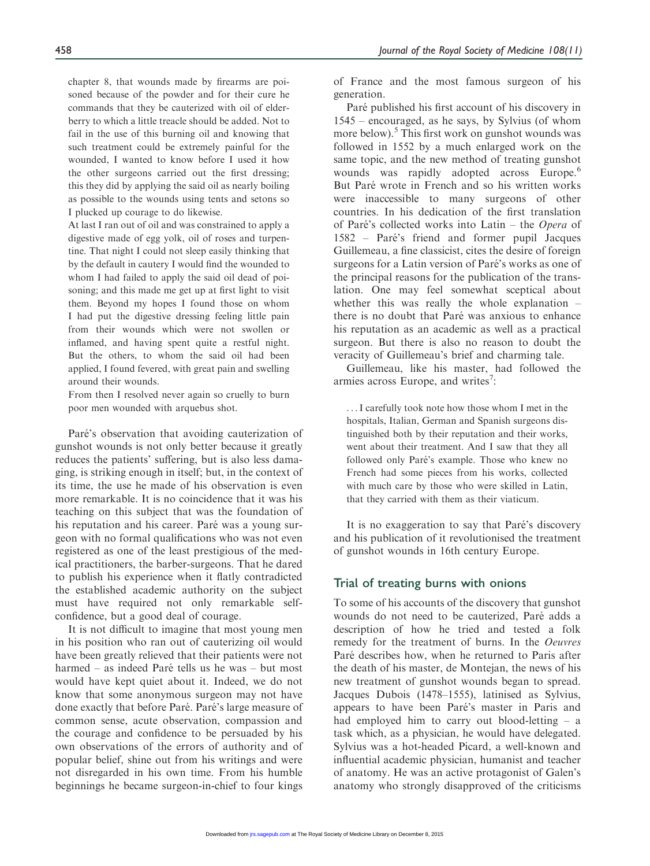chapter 8, that wounds made by firearms are poisoned because of the powder and for their cure he commands that they be cauterized with oil of elderberry to which a little treacle should be added. Not to fail in the use of this burning oil and knowing that such treatment could be extremely painful for the wounded, I wanted to know before I used it how the other surgeons carried out the first dressing; this they did by applying the said oil as nearly boiling as possible to the wounds using tents and setons so I plucked up courage to do likewise.

At last I ran out of oil and was constrained to apply a digestive made of egg yolk, oil of roses and turpentine. That night I could not sleep easily thinking that by the default in cautery I would find the wounded to whom I had failed to apply the said oil dead of poisoning; and this made me get up at first light to visit them. Beyond my hopes I found those on whom I had put the digestive dressing feeling little pain from their wounds which were not swollen or inflamed, and having spent quite a restful night. But the others, to whom the said oil had been applied, I found fevered, with great pain and swelling around their wounds.

From then I resolved never again so cruelly to burn poor men wounded with arquebus shot.

Paré's observation that avoiding cauterization of gunshot wounds is not only better because it greatly reduces the patients' suffering, but is also less damaging, is striking enough in itself; but, in the context of its time, the use he made of his observation is even more remarkable. It is no coincidence that it was his teaching on this subject that was the foundation of his reputation and his career. Paré was a young surgeon with no formal qualifications who was not even registered as one of the least prestigious of the medical practitioners, the barber-surgeons. That he dared to publish his experience when it flatly contradicted the established academic authority on the subject must have required not only remarkable selfconfidence, but a good deal of courage.

It is not difficult to imagine that most young men in his position who ran out of cauterizing oil would have been greatly relieved that their patients were not harmed – as indeed Paré tells us he was – but most would have kept quiet about it. Indeed, we do not know that some anonymous surgeon may not have done exactly that before Paré. Paré's large measure of common sense, acute observation, compassion and the courage and confidence to be persuaded by his own observations of the errors of authority and of popular belief, shine out from his writings and were not disregarded in his own time. From his humble beginnings he became surgeon-in-chief to four kings of France and the most famous surgeon of his generation.

Paré published his first account of his discovery in 1545 – encouraged, as he says, by Sylvius (of whom more below).<sup>5</sup> This first work on gunshot wounds was followed in 1552 by a much enlarged work on the same topic, and the new method of treating gunshot wounds was rapidly adopted across Europe.<sup>6</sup> But Paré wrote in French and so his written works were inaccessible to many surgeons of other countries. In his dedication of the first translation of Pare´'s collected works into Latin – the Opera of 1582 – Pare´'s friend and former pupil Jacques Guillemeau, a fine classicist, cites the desire of foreign surgeons for a Latin version of Pare´'s works as one of the principal reasons for the publication of the translation. One may feel somewhat sceptical about whether this was really the whole explanation – there is no doubt that Paré was anxious to enhance his reputation as an academic as well as a practical surgeon. But there is also no reason to doubt the veracity of Guillemeau's brief and charming tale.

Guillemeau, like his master, had followed the armies across Europe, and writes<sup>7</sup>:

...I carefully took note how those whom I met in the hospitals, Italian, German and Spanish surgeons distinguished both by their reputation and their works, went about their treatment. And I saw that they all followed only Paré's example. Those who knew no French had some pieces from his works, collected with much care by those who were skilled in Latin, that they carried with them as their viaticum.

It is no exaggeration to say that Paré's discovery and his publication of it revolutionised the treatment of gunshot wounds in 16th century Europe.

### Trial of treating burns with onions

To some of his accounts of the discovery that gunshot wounds do not need to be cauterized, Paré adds a description of how he tried and tested a folk remedy for the treatment of burns. In the Oeuvres Paré describes how, when he returned to Paris after the death of his master, de Montejan, the news of his new treatment of gunshot wounds began to spread. Jacques Dubois (1478–1555), latinised as Sylvius, appears to have been Pare´'s master in Paris and had employed him to carry out blood-letting – a task which, as a physician, he would have delegated. Sylvius was a hot-headed Picard, a well-known and influential academic physician, humanist and teacher of anatomy. He was an active protagonist of Galen's anatomy who strongly disapproved of the criticisms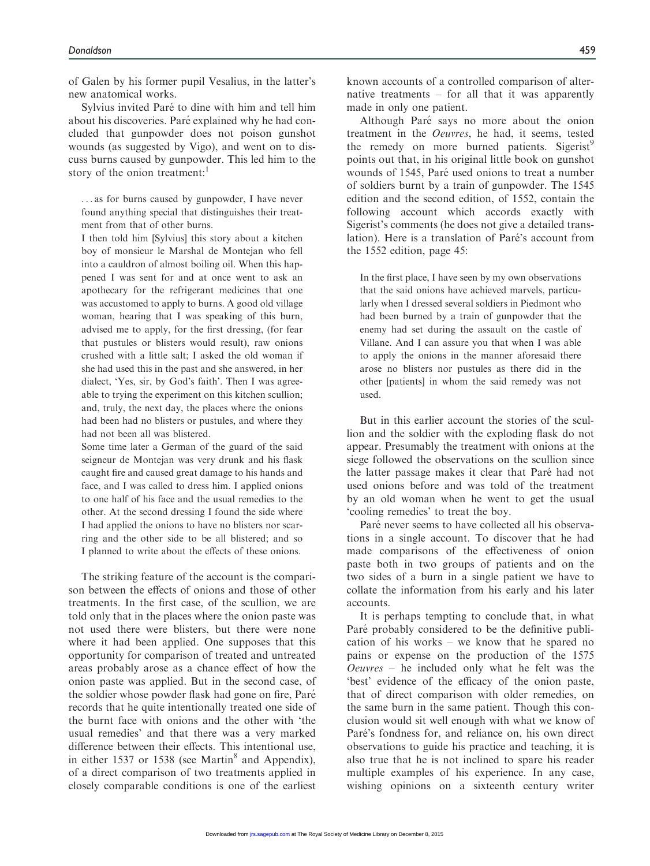of Galen by his former pupil Vesalius, in the latter's new anatomical works.

Sylvius invited Paré to dine with him and tell him about his discoveries. Paré explained why he had concluded that gunpowder does not poison gunshot wounds (as suggested by Vigo), and went on to discuss burns caused by gunpowder. This led him to the story of the onion treatment:<sup>1</sup>

... as for burns caused by gunpowder, I have never found anything special that distinguishes their treatment from that of other burns.

I then told him [Sylvius] this story about a kitchen boy of monsieur le Marshal de Montejan who fell into a cauldron of almost boiling oil. When this happened I was sent for and at once went to ask an apothecary for the refrigerant medicines that one was accustomed to apply to burns. A good old village woman, hearing that I was speaking of this burn, advised me to apply, for the first dressing, (for fear that pustules or blisters would result), raw onions crushed with a little salt; I asked the old woman if she had used this in the past and she answered, in her dialect, 'Yes, sir, by God's faith'. Then I was agreeable to trying the experiment on this kitchen scullion; and, truly, the next day, the places where the onions had been had no blisters or pustules, and where they had not been all was blistered.

Some time later a German of the guard of the said seigneur de Montejan was very drunk and his flask caught fire and caused great damage to his hands and face, and I was called to dress him. I applied onions to one half of his face and the usual remedies to the other. At the second dressing I found the side where I had applied the onions to have no blisters nor scarring and the other side to be all blistered; and so I planned to write about the effects of these onions.

The striking feature of the account is the comparison between the effects of onions and those of other treatments. In the first case, of the scullion, we are told only that in the places where the onion paste was not used there were blisters, but there were none where it had been applied. One supposes that this opportunity for comparison of treated and untreated areas probably arose as a chance effect of how the onion paste was applied. But in the second case, of the soldier whose powder flask had gone on fire, Pare´ records that he quite intentionally treated one side of the burnt face with onions and the other with 'the usual remedies' and that there was a very marked difference between their effects. This intentional use, in either 1537 or 1538 (see Martin $^8$  and Appendix), of a direct comparison of two treatments applied in closely comparable conditions is one of the earliest

known accounts of a controlled comparison of alternative treatments – for all that it was apparently made in only one patient.

Although Paré says no more about the onion treatment in the Oeuvres, he had, it seems, tested the remedy on more burned patients. Sigerist<sup>9</sup> points out that, in his original little book on gunshot wounds of 1545, Paré used onions to treat a number of soldiers burnt by a train of gunpowder. The 1545 edition and the second edition, of 1552, contain the following account which accords exactly with Sigerist's comments (he does not give a detailed translation). Here is a translation of Pare´'s account from the 1552 edition, page 45:

In the first place, I have seen by my own observations that the said onions have achieved marvels, particularly when I dressed several soldiers in Piedmont who had been burned by a train of gunpowder that the enemy had set during the assault on the castle of Villane. And I can assure you that when I was able to apply the onions in the manner aforesaid there arose no blisters nor pustules as there did in the other [patients] in whom the said remedy was not used.

But in this earlier account the stories of the scullion and the soldier with the exploding flask do not appear. Presumably the treatment with onions at the siege followed the observations on the scullion since the latter passage makes it clear that Pare´ had not used onions before and was told of the treatment by an old woman when he went to get the usual 'cooling remedies' to treat the boy.

Paré never seems to have collected all his observations in a single account. To discover that he had made comparisons of the effectiveness of onion paste both in two groups of patients and on the two sides of a burn in a single patient we have to collate the information from his early and his later accounts.

It is perhaps tempting to conclude that, in what Paré probably considered to be the definitive publication of his works – we know that he spared no pains or expense on the production of the 1575 Oeuvres – he included only what he felt was the 'best' evidence of the efficacy of the onion paste, that of direct comparison with older remedies, on the same burn in the same patient. Though this conclusion would sit well enough with what we know of Paré's fondness for, and reliance on, his own direct observations to guide his practice and teaching, it is also true that he is not inclined to spare his reader multiple examples of his experience. In any case, wishing opinions on a sixteenth century writer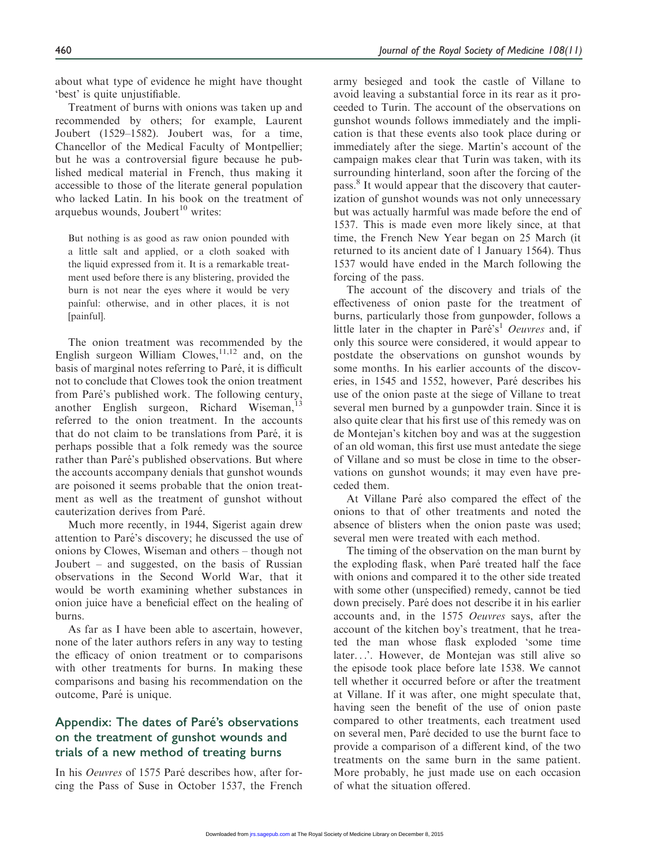about what type of evidence he might have thought 'best' is quite unjustifiable.

Treatment of burns with onions was taken up and recommended by others; for example, Laurent Joubert (1529–1582). Joubert was, for a time, Chancellor of the Medical Faculty of Montpellier; but he was a controversial figure because he published medical material in French, thus making it accessible to those of the literate general population who lacked Latin. In his book on the treatment of arquebus wounds, Joubert<sup>10</sup> writes:

But nothing is as good as raw onion pounded with a little salt and applied, or a cloth soaked with the liquid expressed from it. It is a remarkable treatment used before there is any blistering, provided the burn is not near the eyes where it would be very painful: otherwise, and in other places, it is not [painful].

The onion treatment was recommended by the English surgeon William Clowes,  $11,12$  and, on the basis of marginal notes referring to Paré, it is difficult not to conclude that Clowes took the onion treatment from Pare´'s published work. The following century, another English surgeon, Richard Wiseman,<sup>13</sup> referred to the onion treatment. In the accounts that do not claim to be translations from Paré, it is perhaps possible that a folk remedy was the source rather than Paré's published observations. But where the accounts accompany denials that gunshot wounds are poisoned it seems probable that the onion treatment as well as the treatment of gunshot without cauterization derives from Pare´.

Much more recently, in 1944, Sigerist again drew attention to Pare´'s discovery; he discussed the use of onions by Clowes, Wiseman and others – though not Joubert – and suggested, on the basis of Russian observations in the Second World War, that it would be worth examining whether substances in onion juice have a beneficial effect on the healing of burns.

As far as I have been able to ascertain, however, none of the later authors refers in any way to testing the efficacy of onion treatment or to comparisons with other treatments for burns. In making these comparisons and basing his recommendation on the outcome, Paré is unique.

## Appendix: The dates of Paré's observations on the treatment of gunshot wounds and trials of a new method of treating burns

In his Oeuvres of 1575 Paré describes how, after forcing the Pass of Suse in October 1537, the French army besieged and took the castle of Villane to avoid leaving a substantial force in its rear as it proceeded to Turin. The account of the observations on gunshot wounds follows immediately and the implication is that these events also took place during or immediately after the siege. Martin's account of the campaign makes clear that Turin was taken, with its surrounding hinterland, soon after the forcing of the pass.8 It would appear that the discovery that cauterization of gunshot wounds was not only unnecessary but was actually harmful was made before the end of 1537. This is made even more likely since, at that time, the French New Year began on 25 March (it returned to its ancient date of 1 January 1564). Thus 1537 would have ended in the March following the forcing of the pass.

The account of the discovery and trials of the effectiveness of onion paste for the treatment of burns, particularly those from gunpowder, follows a little later in the chapter in Paré's<sup>1</sup> Oeuvres and, if only this source were considered, it would appear to postdate the observations on gunshot wounds by some months. In his earlier accounts of the discoveries, in 1545 and 1552, however, Pare´ describes his use of the onion paste at the siege of Villane to treat several men burned by a gunpowder train. Since it is also quite clear that his first use of this remedy was on de Montejan's kitchen boy and was at the suggestion of an old woman, this first use must antedate the siege of Villane and so must be close in time to the observations on gunshot wounds; it may even have preceded them.

At Villane Paré also compared the effect of the onions to that of other treatments and noted the absence of blisters when the onion paste was used; several men were treated with each method.

The timing of the observation on the man burnt by the exploding flask, when Paré treated half the face with onions and compared it to the other side treated with some other (unspecified) remedy, cannot be tied down precisely. Paré does not describe it in his earlier accounts and, in the 1575 Oeuvres says, after the account of the kitchen boy's treatment, that he treated the man whose flask exploded 'some time later...'. However, de Montejan was still alive so the episode took place before late 1538. We cannot tell whether it occurred before or after the treatment at Villane. If it was after, one might speculate that, having seen the benefit of the use of onion paste compared to other treatments, each treatment used on several men, Pare´ decided to use the burnt face to provide a comparison of a different kind, of the two treatments on the same burn in the same patient. More probably, he just made use on each occasion of what the situation offered.